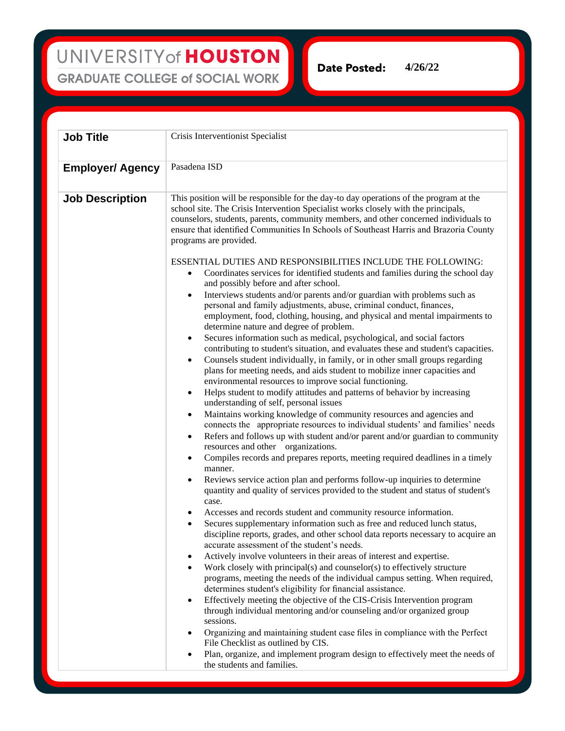UNIVERSITY of HOUSTON **GRADUATE COLLEGE of SOCIAL WORK** 

**4/26/22**Date Posted:

**Job Title** Crisis Interventionist Specialist **Employer/ Agency** Pasadena ISD **Job Description** This position will be responsible for the day-to day operations of the program at the school site. The Crisis Intervention Specialist works closely with the principals, counselors, students, parents, community members, and other concerned individuals to ensure that identified Communities In Schools of Southeast Harris and Brazoria County programs are provided. ESSENTIAL DUTIES AND RESPONSIBILITIES INCLUDE THE FOLLOWING: • Coordinates services for identified students and families during the school day and possibly before and after school. • Interviews students and/or parents and/or guardian with problems such as personal and family adjustments, abuse, criminal conduct, finances, employment, food, clothing, housing, and physical and mental impairments to determine nature and degree of problem. Secures information such as medical, psychological, and social factors contributing to student's situation, and evaluates these and student's capacities. • Counsels student individually, in family, or in other small groups regarding plans for meeting needs, and aids student to mobilize inner capacities and environmental resources to improve social functioning. • Helps student to modify attitudes and patterns of behavior by increasing understanding of self, personal issues • Maintains working knowledge of community resources and agencies and connects the appropriate resources to individual students' and families' needs Refers and follows up with student and/or parent and/or guardian to community resources and other organizations. • Compiles records and prepares reports, meeting required deadlines in a timely manner. Reviews service action plan and performs follow-up inquiries to determine quantity and quality of services provided to the student and status of student's case. • Accesses and records student and community resource information. Secures supplementary information such as free and reduced lunch status, discipline reports, grades, and other school data reports necessary to acquire an accurate assessment of the student's needs. • Actively involve volunteers in their areas of interest and expertise. • Work closely with principal(s) and counselor(s) to effectively structure programs, meeting the needs of the individual campus setting. When required, determines student's eligibility for financial assistance. • Effectively meeting the objective of the CIS-Crisis Intervention program through individual mentoring and/or counseling and/or organized group sessions. • Organizing and maintaining student case files in compliance with the Perfect File Checklist as outlined by CIS. • Plan, organize, and implement program design to effectively meet the needs of the students and families.